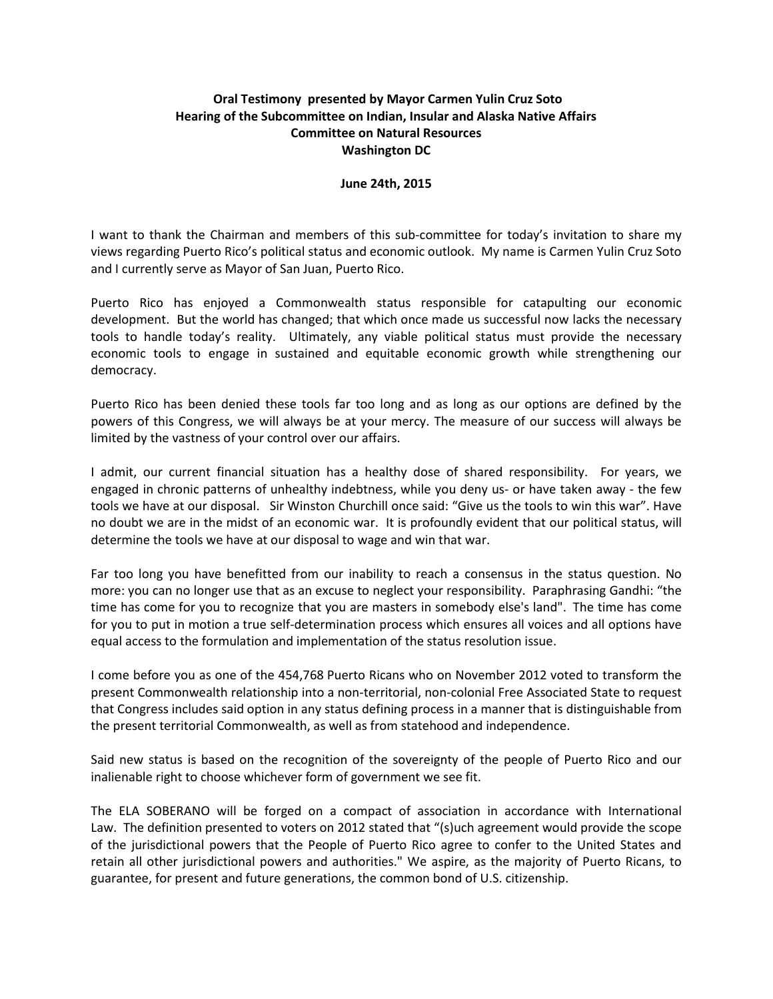## **Oral Testimony presented by Mayor Carmen Yulin Cruz Soto Hearing of the Subcommittee on Indian, Insular and Alaska Native Affairs Committee on Natural Resources Washington DC**

## **June 24th, 2015**

I want to thank the Chairman and members of this sub-committee for today's invitation to share my views regarding Puerto Rico's political status and economic outlook. My name is Carmen Yulin Cruz Soto and I currently serve as Mayor of San Juan, Puerto Rico.

Puerto Rico has enjoyed a Commonwealth status responsible for catapulting our economic development. But the world has changed; that which once made us successful now lacks the necessary tools to handle today's reality. Ultimately, any viable political status must provide the necessary economic tools to engage in sustained and equitable economic growth while strengthening our democracy.

Puerto Rico has been denied these tools far too long and as long as our options are defined by the powers of this Congress, we will always be at your mercy. The measure of our success will always be limited by the vastness of your control over our affairs.

I admit, our current financial situation has a healthy dose of shared responsibility. For years, we engaged in chronic patterns of unhealthy indebtness, while you deny us- or have taken away - the few tools we have at our disposal. Sir Winston Churchill once said: "Give us the tools to win this war". Have no doubt we are in the midst of an economic war. It is profoundly evident that our political status, will determine the tools we have at our disposal to wage and win that war.

Far too long you have benefitted from our inability to reach a consensus in the status question. No more: you can no longer use that as an excuse to neglect your responsibility. Paraphrasing Gandhi: "the time has come for you to recognize that you are masters in somebody else's land". The time has come for you to put in motion a true self-determination process which ensures all voices and all options have equal access to the formulation and implementation of the status resolution issue.

I come before you as one of the 454,768 Puerto Ricans who on November 2012 voted to transform the present Commonwealth relationship into a non-territorial, non-colonial Free Associated State to request that Congress includes said option in any status defining process in a manner that is distinguishable from the present territorial Commonwealth, as well as from statehood and independence.

Said new status is based on the recognition of the sovereignty of the people of Puerto Rico and our inalienable right to choose whichever form of government we see fit.

The ELA SOBERANO will be forged on a compact of association in accordance with International Law. The definition presented to voters on 2012 stated that "(s)uch agreement would provide the scope of the jurisdictional powers that the People of Puerto Rico agree to confer to the United States and retain all other jurisdictional powers and authorities." We aspire, as the majority of Puerto Ricans, to guarantee, for present and future generations, the common bond of U.S. citizenship.